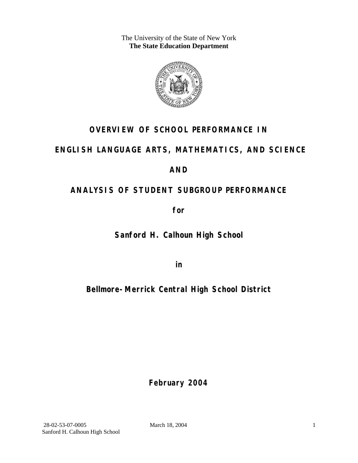The University of the State of New York **The State Education Department** 



# **OVERVIEW OF SCHOOL PERFORMANCE IN**

## **ENGLISH LANGUAGE ARTS, MATHEMATICS, AND SCIENCE**

### **AND**

# **ANALYSIS OF STUDENT SUBGROUP PERFORMANCE**

**for** 

**Sanford H. Calhoun High School**

**in** 

# **Bellmore-Merrick Central High School District**

**February 2004**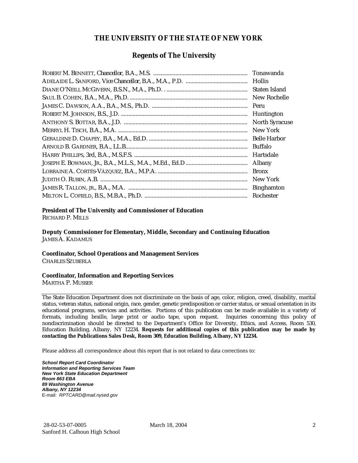#### **THE UNIVERSITY OF THE STATE OF NEW YORK**

#### **Regents of The University**

| Tonawanda             |
|-----------------------|
| <b>Hollis</b>         |
| Staten Island         |
| New Rochelle          |
| Peru                  |
| Huntington            |
| <b>North Syracuse</b> |
| New York              |
| <b>Belle Harbor</b>   |
| Buffalo               |
| Hartsdale             |
| Albany                |
| <b>Bronx</b>          |
| New York              |
| <b>Binghamton</b>     |
| Rochester             |

#### **President of The University and Commissioner of Education**

RICHARD P. MILLS

**Deputy Commissioner for Elementary, Middle, Secondary and Continuing Education**  JAMES A. KADAMUS

#### **Coordinator, School Operations and Management Services**

CHARLES SZUBERLA

#### **Coordinator, Information and Reporting Services**

MARTHA P. MUSSER

The State Education Department does not discriminate on the basis of age, color, religion, creed, disability, marital status, veteran status, national origin, race, gender, genetic predisposition or carrier status, or sexual orientation in its educational programs, services and activities. Portions of this publication can be made available in a variety of formats, including braille, large print or audio tape, upon request. Inquiries concerning this policy of nondiscrimination should be directed to the Department's Office for Diversity, Ethics, and Access, Room 530, Education Building, Albany, NY 12234. **Requests for additional copies of this publication may be made by contacting the Publications Sales Desk, Room 309, Education Building, Albany, NY 12234.** 

Please address all correspondence about this report that is not related to data corrections to:

*School Report Card Coordinator Information and Reporting Services Team New York State Education Department Room 863 EBA 89 Washington Avenue Albany, NY 12234*  E-mail: *RPTCARD@mail.nysed.gov*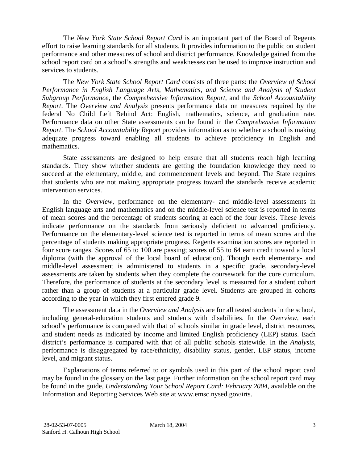The *New York State School Report Card* is an important part of the Board of Regents effort to raise learning standards for all students. It provides information to the public on student performance and other measures of school and district performance. Knowledge gained from the school report card on a school's strengths and weaknesses can be used to improve instruction and services to students.

The *New York State School Report Card* consists of three parts: the *Overview of School Performance in English Language Arts, Mathematics, and Science and Analysis of Student Subgroup Performance,* the *Comprehensive Information Report,* and the *School Accountability Report*. The *Overview and Analysis* presents performance data on measures required by the federal No Child Left Behind Act: English, mathematics, science, and graduation rate. Performance data on other State assessments can be found in the *Comprehensive Information Report*. The *School Accountability Report* provides information as to whether a school is making adequate progress toward enabling all students to achieve proficiency in English and mathematics.

State assessments are designed to help ensure that all students reach high learning standards. They show whether students are getting the foundation knowledge they need to succeed at the elementary, middle, and commencement levels and beyond. The State requires that students who are not making appropriate progress toward the standards receive academic intervention services.

In the *Overview*, performance on the elementary- and middle-level assessments in English language arts and mathematics and on the middle-level science test is reported in terms of mean scores and the percentage of students scoring at each of the four levels. These levels indicate performance on the standards from seriously deficient to advanced proficiency. Performance on the elementary-level science test is reported in terms of mean scores and the percentage of students making appropriate progress. Regents examination scores are reported in four score ranges. Scores of 65 to 100 are passing; scores of 55 to 64 earn credit toward a local diploma (with the approval of the local board of education). Though each elementary- and middle-level assessment is administered to students in a specific grade, secondary-level assessments are taken by students when they complete the coursework for the core curriculum. Therefore, the performance of students at the secondary level is measured for a student cohort rather than a group of students at a particular grade level. Students are grouped in cohorts according to the year in which they first entered grade 9.

The assessment data in the *Overview and Analysis* are for all tested students in the school, including general-education students and students with disabilities. In the *Overview*, each school's performance is compared with that of schools similar in grade level, district resources, and student needs as indicated by income and limited English proficiency (LEP) status. Each district's performance is compared with that of all public schools statewide. In the *Analysis*, performance is disaggregated by race/ethnicity, disability status, gender, LEP status, income level, and migrant status.

Explanations of terms referred to or symbols used in this part of the school report card may be found in the glossary on the last page. Further information on the school report card may be found in the guide, *Understanding Your School Report Card: February 2004*, available on the Information and Reporting Services Web site at www.emsc.nysed.gov/irts.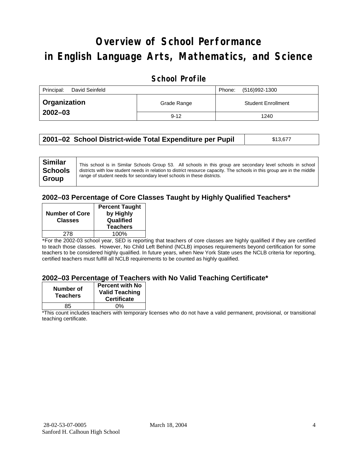# **Overview of School Performance in English Language Arts, Mathematics, and Science**

#### **School Profile**

| Principal:<br>David Seinfeld | (516)992-1300<br>Phone: |                           |
|------------------------------|-------------------------|---------------------------|
| <b>Organization</b>          | Grade Range             | <b>Student Enrollment</b> |
| $2002 - 03$                  | $9 - 12$                | 1240                      |

| 2001–02 School District-wide Total Expenditure per Pupil | \$13,677 |
|----------------------------------------------------------|----------|
|----------------------------------------------------------|----------|

#### **2002–03 Percentage of Core Classes Taught by Highly Qualified Teachers\***

| <b>Number of Core</b><br><b>Classes</b> | <b>Percent Taught</b><br>by Highly<br>Qualified<br><b>Teachers</b> |
|-----------------------------------------|--------------------------------------------------------------------|
| 278                                     | 100%                                                               |
|                                         |                                                                    |

\*For the 2002-03 school year, SED is reporting that teachers of core classes are highly qualified if they are certified to teach those classes. However, No Child Left Behind (NCLB) imposes requirements beyond certification for some teachers to be considered highly qualified. In future years, when New York State uses the NCLB criteria for reporting, certified teachers must fulfill all NCLB requirements to be counted as highly qualified.

#### **2002–03 Percentage of Teachers with No Valid Teaching Certificate\***

| Number of<br><b>Teachers</b> | <b>Percent with No</b><br><b>Valid Teaching</b><br><b>Certificate</b> |
|------------------------------|-----------------------------------------------------------------------|
| 85                           | ሰ%                                                                    |

\*This count includes teachers with temporary licenses who do not have a valid permanent, provisional, or transitional teaching certificate.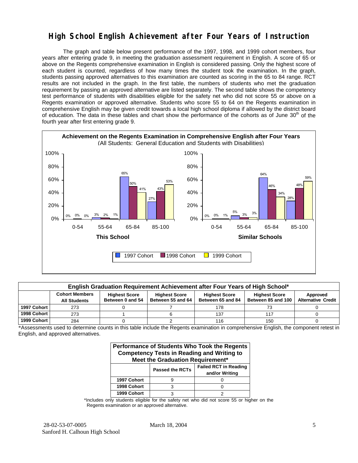### **High School English Achievement after Four Years of Instruction**

The graph and table below present performance of the 1997, 1998, and 1999 cohort members, four years after entering grade 9, in meeting the graduation assessment requirement in English. A score of 65 or above on the Regents comprehensive examination in English is considered passing. Only the highest score of each student is counted, regardless of how many times the student took the examination. In the graph, students passing approved alternatives to this examination are counted as scoring in the 65 to 84 range. RCT results are not included in the graph. In the first table, the numbers of students who met the graduation requirement by passing an approved alternative are listed separately. The second table shows the competency test performance of students with disabilities eligible for the safety net who did not score 55 or above on a Regents examination or approved alternative. Students who score 55 to 64 on the Regents examination in comprehensive English may be given credit towards a local high school diploma if allowed by the district board of education. The data in these tables and chart show the performance of the cohorts as of June  $30<sup>th</sup>$  of the fourth year after first entering grade 9.



| English Graduation Requirement Achievement after Four Years of High School* |                                                                                                                                                                                                                                                                           |  |  |     |     |  |  |  |  |
|-----------------------------------------------------------------------------|---------------------------------------------------------------------------------------------------------------------------------------------------------------------------------------------------------------------------------------------------------------------------|--|--|-----|-----|--|--|--|--|
|                                                                             | <b>Cohort Members</b><br><b>Highest Score</b><br><b>Highest Score</b><br><b>Highest Score</b><br><b>Highest Score</b><br>Approved<br>Between 55 and 64<br><b>Alternative Credit</b><br>Between 85 and 100<br>Between 0 and 54<br>Between 65 and 84<br><b>All Students</b> |  |  |     |     |  |  |  |  |
| 1997 Cohort                                                                 | 273                                                                                                                                                                                                                                                                       |  |  | 178 | 73  |  |  |  |  |
| 1998 Cohort                                                                 | 273                                                                                                                                                                                                                                                                       |  |  | 137 | 117 |  |  |  |  |
| 1999 Cohort                                                                 | 284                                                                                                                                                                                                                                                                       |  |  | 116 | 150 |  |  |  |  |

\*Assessments used to determine counts in this table include the Regents examination in comprehensive English, the component retest in English, and approved alternatives.

| Performance of Students Who Took the Regents<br><b>Competency Tests in Reading and Writing to</b><br>Meet the Graduation Requirement* |   |  |  |  |  |  |  |
|---------------------------------------------------------------------------------------------------------------------------------------|---|--|--|--|--|--|--|
| <b>Failed RCT in Reading</b><br><b>Passed the RCTs</b><br>and/or Writing                                                              |   |  |  |  |  |  |  |
| 1997 Cohort                                                                                                                           |   |  |  |  |  |  |  |
| 1998 Cohort                                                                                                                           | ว |  |  |  |  |  |  |
| 1999 Cohort                                                                                                                           |   |  |  |  |  |  |  |

\*Includes only students eligible for the safety net who did not score 55 or higher on the Regents examination or an approved alternative.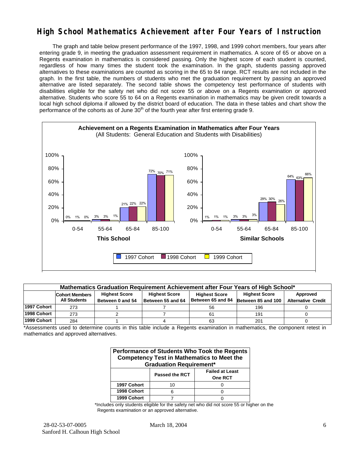### **High School Mathematics Achievement after Four Years of Instruction**

The graph and table below present performance of the 1997, 1998, and 1999 cohort members, four years after entering grade 9, in meeting the graduation assessment requirement in mathematics. A score of 65 or above on a Regents examination in mathematics is considered passing. Only the highest score of each student is counted, regardless of how many times the student took the examination. In the graph, students passing approved alternatives to these examinations are counted as scoring in the 65 to 84 range. RCT results are not included in the graph. In the first table, the numbers of students who met the graduation requirement by passing an approved alternative are listed separately. The second table shows the competency test performance of students with disabilities eligible for the safety net who did not score 55 or above on a Regents examination or approved alternative. Students who score 55 to 64 on a Regents examination in mathematics may be given credit towards a local high school diploma if allowed by the district board of education. The data in these tables and chart show the performance of the cohorts as of June  $30<sup>th</sup>$  of the fourth year after first entering grade 9.

![](_page_5_Figure_2.jpeg)

| Mathematics Graduation Requirement Achievement after Four Years of High School* |                                                                                                                                   |                                                                                                               |  |    |     |  |  |  |  |  |  |  |
|---------------------------------------------------------------------------------|-----------------------------------------------------------------------------------------------------------------------------------|---------------------------------------------------------------------------------------------------------------|--|----|-----|--|--|--|--|--|--|--|
|                                                                                 | <b>Highest Score</b><br><b>Highest Score</b><br><b>Highest Score</b><br>Approved<br><b>Cohort Members</b><br><b>Highest Score</b> |                                                                                                               |  |    |     |  |  |  |  |  |  |  |
|                                                                                 | <b>All Students</b>                                                                                                               | Between 65 and 84<br>Between 55 and 64<br>Between 85 and 100<br><b>Alternative Credit</b><br>Between 0 and 54 |  |    |     |  |  |  |  |  |  |  |
| 1997 Cohort                                                                     | 273                                                                                                                               |                                                                                                               |  | 56 | 196 |  |  |  |  |  |  |  |
| 1998 Cohort                                                                     | 273                                                                                                                               |                                                                                                               |  | 61 | 191 |  |  |  |  |  |  |  |
| 1999 Cohort                                                                     | 284                                                                                                                               |                                                                                                               |  | 63 | 201 |  |  |  |  |  |  |  |

\*Assessments used to determine counts in this table include a Regents examination in mathematics, the component retest in mathematics and approved alternatives.

| Performance of Students Who Took the Regents<br><b>Competency Test in Mathematics to Meet the</b><br><b>Graduation Requirement*</b> |    |  |  |  |  |  |  |
|-------------------------------------------------------------------------------------------------------------------------------------|----|--|--|--|--|--|--|
| <b>Failed at Least</b><br><b>Passed the RCT</b><br>One RCT                                                                          |    |  |  |  |  |  |  |
| 1997 Cohort                                                                                                                         | 10 |  |  |  |  |  |  |
| 1998 Cohort                                                                                                                         |    |  |  |  |  |  |  |
| 1999 Cohort                                                                                                                         |    |  |  |  |  |  |  |

\*Includes only students eligible for the safety net who did not score 55 or higher on the Regents examination or an approved alternative.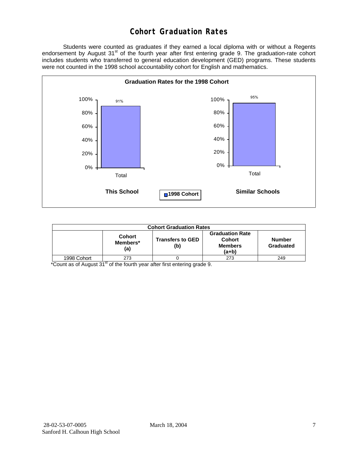### **Cohort Graduation Rates**

 Students were counted as graduates if they earned a local diploma with or without a Regents endorsement by August 31<sup>st</sup> of the fourth year after first entering grade 9. The graduation-rate cohort includes students who transferred to general education development (GED) programs. These students were not counted in the 1998 school accountability cohort for English and mathematics.

![](_page_6_Figure_2.jpeg)

| <b>Cohort Graduation Rates</b> |                                  |                                |                                                                    |                            |  |  |
|--------------------------------|----------------------------------|--------------------------------|--------------------------------------------------------------------|----------------------------|--|--|
|                                | <b>Cohort</b><br>Members*<br>(a) | <b>Transfers to GED</b><br>(b) | <b>Graduation Rate</b><br><b>Cohort</b><br><b>Members</b><br>(a+b) | <b>Number</b><br>Graduated |  |  |
| 1998 Cohort                    | 273                              |                                | 273                                                                | 249                        |  |  |

\*Count as of August 31<sup>st</sup> of the fourth year after first entering grade 9.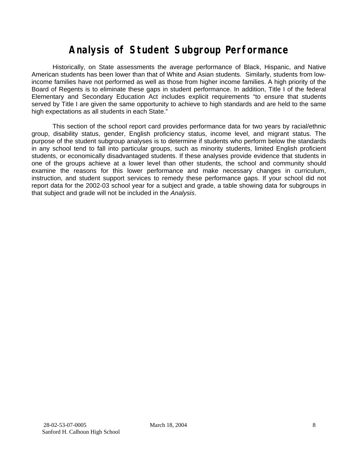# **Analysis of Student Subgroup Performance**

Historically, on State assessments the average performance of Black, Hispanic, and Native American students has been lower than that of White and Asian students. Similarly, students from lowincome families have not performed as well as those from higher income families. A high priority of the Board of Regents is to eliminate these gaps in student performance. In addition, Title I of the federal Elementary and Secondary Education Act includes explicit requirements "to ensure that students served by Title I are given the same opportunity to achieve to high standards and are held to the same high expectations as all students in each State."

This section of the school report card provides performance data for two years by racial/ethnic group, disability status, gender, English proficiency status, income level, and migrant status. The purpose of the student subgroup analyses is to determine if students who perform below the standards in any school tend to fall into particular groups, such as minority students, limited English proficient students, or economically disadvantaged students. If these analyses provide evidence that students in one of the groups achieve at a lower level than other students, the school and community should examine the reasons for this lower performance and make necessary changes in curriculum, instruction, and student support services to remedy these performance gaps. If your school did not report data for the 2002-03 school year for a subject and grade, a table showing data for subgroups in that subject and grade will not be included in the *Analysis*.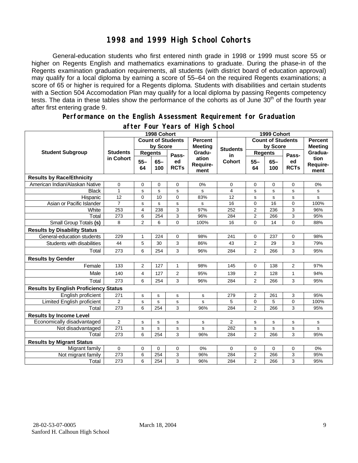### **1998 and 1999 High School Cohorts**

General-education students who first entered ninth grade in 1998 or 1999 must score 55 or higher on Regents English and mathematics examinations to graduate. During the phase-in of the Regents examination graduation requirements, all students (with district board of education approval) may qualify for a local diploma by earning a score of 55–64 on the required Regents examinations; a score of 65 or higher is required for a Regents diploma. Students with disabilities and certain students with a Section 504 Accomodation Plan may qualify for a local diploma by passing Regents competency tests. The data in these tables show the performance of the cohorts as of June 30<sup>th</sup> of the fourth year after first entering grade 9.

#### **Performance on the English Assessment Requirement for Graduation**

|                                              | 1998 Cohort     |                                                                          |              |                   | 1999 Cohort               |                     |                  |                |                   |                          |
|----------------------------------------------|-----------------|--------------------------------------------------------------------------|--------------|-------------------|---------------------------|---------------------|------------------|----------------|-------------------|--------------------------|
|                                              |                 | <b>Count of Students</b><br><b>Percent</b><br>by Score<br><b>Meeting</b> |              |                   | <b>Count of Students</b>  |                     |                  | <b>Percent</b> |                   |                          |
| <b>Student Subgroup</b>                      |                 |                                                                          |              |                   | <b>Students</b>           | by Score            |                  | <b>Meeting</b> |                   |                          |
|                                              | <b>Students</b> | <b>Regents</b>                                                           |              | Pass-             | Gradu-                    | in<br><b>Cohort</b> | <b>Regents</b>   |                | Pass-             | Gradua-                  |
|                                              | in Cohort       | $55 -$<br>64                                                             | $65-$<br>100 | ed<br><b>RCTs</b> | ation<br>Require-<br>ment |                     | $55 -$<br>64     | $65 -$<br>100  | ed<br><b>RCTs</b> | tion<br>Require-<br>ment |
| <b>Results by Race/Ethnicity</b>             |                 |                                                                          |              |                   |                           |                     |                  |                |                   |                          |
| American Indian/Alaskan Native               | 0               | 0                                                                        | $\mathbf 0$  | $\mathbf 0$       | 0%                        | 0                   | 0                | 0              | $\mathbf 0$       | 0%                       |
| <b>Black</b>                                 | $\mathbf{1}$    | s                                                                        | s            | ${\tt s}$         | s                         | 4                   | s                | s              | s                 | s                        |
| Hispanic                                     | 12              | $\overline{0}$                                                           | 10           | $\Omega$          | 83%                       | 12                  | s                | s              | s                 | s                        |
| Asian or Pacific Islander                    | $\overline{7}$  | s                                                                        | $\mathbf s$  | $\mathbf s$       | s                         | 16                  | $\mathbf 0$      | 16             | $\mathbf 0$       | 100%                     |
| White                                        | 253             | $\overline{4}$                                                           | 238          | 3                 | 97%                       | 252                 | $\overline{c}$   | 236            | 3                 | 96%                      |
| Total                                        | 273             | 6                                                                        | 254          | 3                 | 96%                       | 284                 | $\boldsymbol{2}$ | 266            | 3                 | 95%                      |
| Small Group Totals (s)                       | 8               | $\overline{2}$                                                           | 6            | $\Omega$          | 100%                      | 16                  | $\overline{0}$   | 14             | $\Omega$          | 88%                      |
| <b>Results by Disability Status</b>          |                 |                                                                          |              |                   |                           |                     |                  |                |                   |                          |
| General-education students                   | 229             | 1                                                                        | 224          | 0                 | 98%                       | 241                 | 0                | 237            | 0                 | 98%                      |
| Students with disabilities                   | 44              | 5                                                                        | 30           | 3                 | 86%                       | 43                  | $\overline{2}$   | 29             | 3                 | 79%                      |
| Total                                        | 273             | 6                                                                        | 254          | 3                 | 96%                       | 284                 | 2                | 266            | 3                 | 95%                      |
| <b>Results by Gender</b>                     |                 |                                                                          |              |                   |                           |                     |                  |                |                   |                          |
| Female                                       | 133             | $\overline{2}$                                                           | 127          | 1                 | 98%                       | 145                 | 0                | 138            | $\overline{2}$    | 97%                      |
| Male                                         | 140             | $\overline{4}$                                                           | 127          | 2                 | 95%                       | 139                 | $\overline{2}$   | 128            | 1                 | 94%                      |
| Total                                        | 273             | 6                                                                        | 254          | 3                 | 96%                       | 284                 | $\overline{2}$   | 266            | 3                 | 95%                      |
| <b>Results by English Proficiency Status</b> |                 |                                                                          |              |                   |                           |                     |                  |                |                   |                          |
| English proficient                           | 271             | s                                                                        | s            | $\mathbf s$       | s                         | 279                 | 2                | 261            | 3                 | 95%                      |
| Limited English proficient                   | 2               | s                                                                        | $\mathbf s$  | s                 | s                         | 5                   | 0                | 5              | 0                 | 100%                     |
| Total                                        | 273             | 6                                                                        | 254          | 3                 | 96%                       | 284                 | $\overline{2}$   | 266            | 3                 | 95%                      |
| <b>Results by Income Level</b>               |                 |                                                                          |              |                   |                           |                     |                  |                |                   |                          |
| Economically disadvantaged                   | $\overline{2}$  | s                                                                        | $\mathbf s$  | ${\tt s}$         | $\mathbf s$               | $\overline{2}$      | s                | s              | s                 | s                        |
| Not disadvantaged                            | 271             | s                                                                        | s            | s                 | s                         | 282                 | s                | s              | s                 | s                        |
| Total                                        | 273             | 6                                                                        | 254          | 3                 | 96%                       | 284                 | $\overline{2}$   | 266            | 3                 | 95%                      |
| <b>Results by Migrant Status</b>             |                 |                                                                          |              |                   |                           |                     |                  |                |                   |                          |
| Migrant family                               | $\mathbf 0$     | 0                                                                        | 0            | 0                 | 0%                        | 0                   | 0                | 0              | 0                 | 0%                       |
| Not migrant family                           | 273             | 6                                                                        | 254          | 3                 | 96%                       | 284                 | $\overline{2}$   | 266            | 3                 | 95%                      |
| Total                                        | 273             | 6                                                                        | 254          | 3                 | 96%                       | 284                 | $\overline{2}$   | 266            | 3                 | 95%                      |

#### **after Four Years of High School**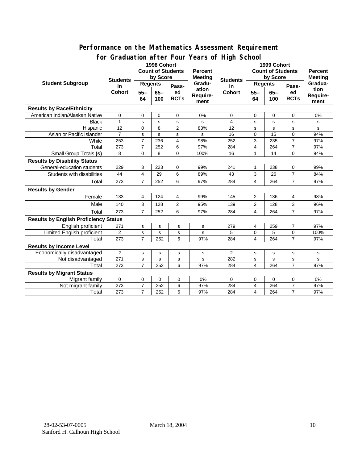#### **Performance on the Mathematics Assessment Requirement for Graduation after Four Years of High School**

|                                              | ordduatholl artor roar roars o'r rhyn Sonool<br>1998 Cohort |                |             |                          |                     | 1999 Cohort              |                |                |                   |           |  |
|----------------------------------------------|-------------------------------------------------------------|----------------|-------------|--------------------------|---------------------|--------------------------|----------------|----------------|-------------------|-----------|--|
|                                              | <b>Count of Students</b>                                    |                |             |                          | Percent             | <b>Count of Students</b> |                |                | <b>Percent</b>    |           |  |
| <b>Student Subgroup</b>                      | <b>Students</b><br>in<br><b>Cohort</b>                      | by Score       |             | <b>Meeting</b><br>Gradu- | <b>Students</b>     | by Score                 |                | <b>Meeting</b> |                   |           |  |
|                                              |                                                             | <b>Regents</b> |             |                          |                     | <b>Regents</b>           |                |                | Gradua-           |           |  |
|                                              |                                                             |                | Pass-       | ation                    | in<br><b>Cohort</b> |                          | Pass-          | tion           |                   |           |  |
|                                              |                                                             | $55 -$<br>64   | $65-$       | ed<br><b>RCTs</b>        | Require-            |                          | $55 -$<br>64   | $65-$          | ed<br><b>RCTs</b> | Require-  |  |
|                                              |                                                             |                | 100         |                          | ment                |                          |                | 100            |                   | ment      |  |
| <b>Results by Race/Ethnicity</b>             |                                                             |                |             |                          |                     |                          |                |                |                   |           |  |
| American Indian/Alaskan Native               | 0                                                           | 0              | 0           | 0                        | 0%                  | 0                        | 0              | 0              | 0                 | 0%        |  |
| <b>Black</b>                                 | $\mathbf{1}$                                                | s              | s           | s                        | s                   | 4                        | s              | s              | s                 | s         |  |
| Hispanic                                     | 12                                                          | 0              | 8           | $\overline{2}$           | 83%                 | 12                       | s              | $\mathbf s$    | s                 | s         |  |
| Asian or Pacific Islander                    | $\overline{7}$                                              | s              | s           | s                        | s                   | 16                       | 0              | 15             | 0                 | 94%       |  |
| White                                        | 253                                                         | $\overline{7}$ | 236         | 4                        | 98%                 | 252                      | 3              | 235            | $\overline{7}$    | 97%       |  |
| Total                                        | 273                                                         | $\overline{7}$ | 252         | 6                        | 97%                 | 284                      | 4              | 264            | $\overline{7}$    | 97%       |  |
| Small Group Totals (s)                       | 8                                                           | 0              | 8           | 0                        | 100%                | 16                       | 1              | 14             | 0                 | 94%       |  |
| <b>Results by Disability Status</b>          |                                                             |                |             |                          |                     |                          |                |                |                   |           |  |
| General-education students                   | 229                                                         | 3              | 223         | 0                        | 99%                 | 241                      | 1              | 238            | 0                 | 99%       |  |
| Students with disabilities                   | 44                                                          | 4              | 29          | 6                        | 89%                 | 43                       | 3              | 26             | $\overline{7}$    | 84%       |  |
| Total                                        | 273                                                         | $\overline{7}$ | 252         | 6                        | 97%                 | 284                      | 4              | 264            | $\overline{7}$    | 97%       |  |
| <b>Results by Gender</b>                     |                                                             |                |             |                          |                     |                          |                |                |                   |           |  |
| Female                                       | 133                                                         | 4              | 124         | 4                        | 99%                 | 145                      | $\overline{2}$ | 136            | 4                 | 98%       |  |
| Male                                         | 140                                                         | 3              | 128         | $\overline{2}$           | 95%                 | 139                      | $\overline{2}$ | 128            | 3                 | 96%       |  |
| Total                                        | 273                                                         | $\overline{7}$ | 252         | 6                        | 97%                 | 284                      | 4              | 264            | $\overline{7}$    | 97%       |  |
| <b>Results by English Proficiency Status</b> |                                                             |                |             |                          |                     |                          |                |                |                   |           |  |
| English proficient                           | 271                                                         | s              | $\mathbf s$ | s                        | $\mathbf s$         | 279                      | 4              | 259            | $\overline{7}$    | 97%       |  |
| Limited English proficient                   | $\overline{2}$                                              | s              | $\mathbf s$ | s                        | s                   | 5                        | 0              | 5              | 0                 | 100%      |  |
| Total                                        | 273                                                         | $\overline{7}$ | 252         | 6                        | 97%                 | 284                      | 4              | 264            | $\overline{7}$    | 97%       |  |
| <b>Results by Income Level</b>               |                                                             |                |             |                          |                     |                          |                |                |                   |           |  |
| Economically disadvantaged                   | $\overline{\mathbf{c}}$                                     | S              | s           | s                        | s                   | $\overline{2}$           | s              | s              | s                 | s         |  |
| Not disadvantaged                            | 271                                                         | s              | s           | s                        | $\mathbf s$         | 282                      | s              | s              | $\mathbf s$       | ${\tt s}$ |  |
| Total                                        | 273                                                         | $\overline{7}$ | 252         | 6                        | 97%                 | 284                      | 4              | 264            | $\overline{7}$    | 97%       |  |
| <b>Results by Migrant Status</b>             |                                                             |                |             |                          |                     |                          |                |                |                   |           |  |
| Migrant family                               | $\mathbf 0$                                                 | $\mathbf 0$    | 0           | 0                        | 0%                  | 0                        | 0              | 0              | 0                 | 0%        |  |
| Not migrant family                           | 273                                                         | $\overline{7}$ | 252         | 6                        | 97%                 | 284                      | 4              | 264            | $\overline{7}$    | 97%       |  |
| Total                                        | 273                                                         | $\overline{7}$ | 252         | 6                        | 97%                 | 284                      | 4              | 264            | $\overline{7}$    | 97%       |  |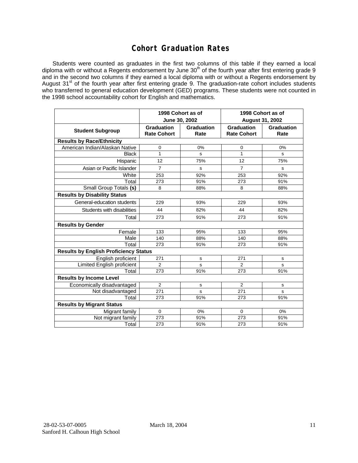### **Cohort Graduation Rates**

Students were counted as graduates in the first two columns of this table if they earned a local diploma with or without a Regents endorsement by June 30<sup>th</sup> of the fourth year after first entering grade 9 and in the second two columns if they earned a local diploma with or without a Regents endorsement by August 31<sup>st</sup> of the fourth year after first entering grade 9. The graduation-rate cohort includes students who transferred to general education development (GED) programs. These students were not counted in the 1998 school accountability cohort for English and mathematics.

|                                              | June 30, 2002                           | 1998 Cohort as of         | 1998 Cohort as of<br><b>August 31, 2002</b> |                           |  |  |  |  |  |
|----------------------------------------------|-----------------------------------------|---------------------------|---------------------------------------------|---------------------------|--|--|--|--|--|
| <b>Student Subgroup</b>                      | <b>Graduation</b><br><b>Rate Cohort</b> | <b>Graduation</b><br>Rate | Graduation<br><b>Rate Cohort</b>            | <b>Graduation</b><br>Rate |  |  |  |  |  |
| <b>Results by Race/Ethnicity</b>             |                                         |                           |                                             |                           |  |  |  |  |  |
| American Indian/Alaskan Native               | 0                                       | 0%                        | 0                                           | 0%                        |  |  |  |  |  |
| <b>Black</b>                                 | $\mathbf{1}$                            | s                         | $\mathbf{1}$                                | s                         |  |  |  |  |  |
| Hispanic                                     | 12                                      | 75%                       | 12                                          | 75%                       |  |  |  |  |  |
| Asian or Pacific Islander                    | $\overline{7}$                          | s                         | $\overline{7}$                              | s                         |  |  |  |  |  |
| White                                        | 253                                     | 92%                       | 253                                         | 92%                       |  |  |  |  |  |
| Total                                        | 273                                     | 91%                       | 273                                         | 91%                       |  |  |  |  |  |
| Small Group Totals (s)                       | 8                                       | 88%                       | 8                                           | 88%                       |  |  |  |  |  |
| <b>Results by Disability Status</b>          |                                         |                           |                                             |                           |  |  |  |  |  |
| General-education students                   | 229                                     | 93%                       | 229                                         | 93%                       |  |  |  |  |  |
| Students with disabilities                   | 44                                      | 82%                       | 44                                          | 82%                       |  |  |  |  |  |
| Total                                        | 273                                     | 91%                       | 273                                         | 91%                       |  |  |  |  |  |
| <b>Results by Gender</b>                     |                                         |                           |                                             |                           |  |  |  |  |  |
| Female                                       | 133                                     | 95%                       | 133                                         | 95%                       |  |  |  |  |  |
| Male                                         | 140                                     | 88%                       | 140                                         | 88%                       |  |  |  |  |  |
| Total                                        | 273                                     | 91%                       | 273                                         | 91%                       |  |  |  |  |  |
| <b>Results by English Proficiency Status</b> |                                         |                           |                                             |                           |  |  |  |  |  |
| English proficient                           | 271                                     | s                         | 271                                         | s                         |  |  |  |  |  |
| Limited English proficient                   | $\overline{2}$                          | s                         | 2                                           | s                         |  |  |  |  |  |
| Total                                        | 273                                     | 91%                       | 273                                         | 91%                       |  |  |  |  |  |
| <b>Results by Income Level</b>               |                                         |                           |                                             |                           |  |  |  |  |  |
| Economically disadvantaged                   | 2                                       | s                         | 2                                           | s                         |  |  |  |  |  |
| Not disadvantaged                            | 271                                     | s                         | 271                                         | s                         |  |  |  |  |  |
| Total                                        | 273                                     | 91%                       | 273                                         | 91%                       |  |  |  |  |  |
| <b>Results by Migrant Status</b>             |                                         |                           |                                             |                           |  |  |  |  |  |
| Migrant family                               | $\mathbf 0$                             | 0%                        | 0                                           | 0%                        |  |  |  |  |  |
| Not migrant family                           | 273                                     | 91%                       | 273                                         | 91%                       |  |  |  |  |  |
| Total                                        | 273                                     | 91%                       | 273                                         | 91%                       |  |  |  |  |  |